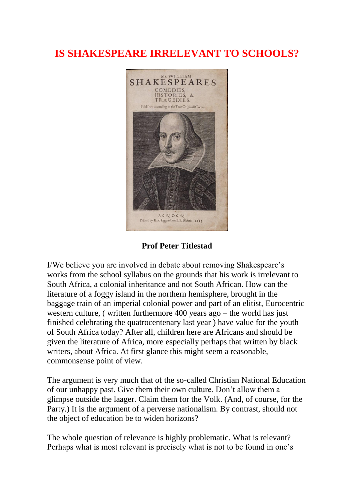## **IS SHAKESPEARE IRRELEVANT TO SCHOOLS?**



**Prof Peter Titlestad**

I/We believe you are involved in debate about removing Shakespeare's works from the school syllabus on the grounds that his work is irrelevant to South Africa, a colonial inheritance and not South African. How can the literature of a foggy island in the northern hemisphere, brought in the baggage train of an imperial colonial power and part of an elitist, Eurocentric western culture, ( written furthermore 400 years ago – the world has just finished celebrating the quatrocentenary last year ) have value for the youth of South Africa today? After all, children here are Africans and should be given the literature of Africa, more especially perhaps that written by black writers, about Africa. At first glance this might seem a reasonable, commonsense point of view.

The argument is very much that of the so-called Christian National Education of our unhappy past. Give them their own culture. Don't allow them a glimpse outside the laager. Claim them for the Volk. (And, of course, for the Party.) It is the argument of a perverse nationalism. By contrast, should not the object of education be to widen horizons?

The whole question of relevance is highly problematic. What is relevant? Perhaps what is most relevant is precisely what is not to be found in one's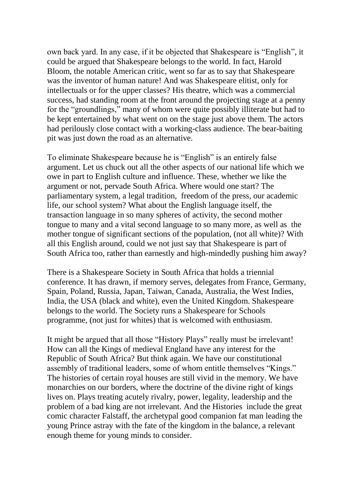own back yard. In any case, if it be objected that Shakespeare is "English", it could be argued that Shakespeare belongs to the world. In fact, Harold Bloom, the notable American critic, went so far as to say that Shakespeare was the inventor of human nature! And was Shakespeare elitist, only for intellectuals or for the upper classes? His theatre, which was a commercial success, had standing room at the front around the projecting stage at a penny for the "groundlings," many of whom were quite possibly illiterate but had to be kept entertained by what went on on the stage just above them. The actors had perilously close contact with a working-class audience. The bear-baiting pit was just down the road as an alternative.

To eliminate Shakespeare because he is "English" is an entirely false argument. Let us chuck out all the other aspects of our national life which we owe in part to English culture and influence. These, whether we like the argument or not, pervade South Africa. Where would one start? The parliamentary system, a legal tradition, freedom of the press, our academic life, our school system? What about the English language itself, the transaction language in so many spheres of activity, the second mother tongue to many and a vital second language to so many more, as well as the mother tongue of significant sections of the population, (not all white)? With all this English around, could we not just say that Shakespeare is part of South Africa too, rather than earnestly and high-mindedly pushing him away?

There is a Shakespeare Society in South Africa that holds a triennial conference. It has drawn, if memory serves, delegates from France, Germany, Spain, Poland, Russia, Japan, Taiwan, Canada, Australia, the West Indies, India, the USA (black and white), even the United Kingdom. Shakespeare belongs to the world. The Society runs a Shakespeare for Schools programme, (not just for whites) that is welcomed with enthusiasm.

It might be argued that all those "History Plays" really must be irrelevant! How can all the Kings of medieval England have any interest for the Republic of South Africa? But think again. We have our constitutional assembly of traditional leaders, some of whom entitle themselves "Kings." The histories of certain royal houses are still vivid in the memory. We have monarchies on our borders, where the doctrine of the divine right of kings lives on. Plays treating acutely rivalry, power, legality, leadership and the problem of a bad king are not irrelevant. And the Histories include the great comic character Falstaff, the archetypal good companion fat man leading the young Prince astray with the fate of the kingdom in the balance, a relevant enough theme for young minds to consider.